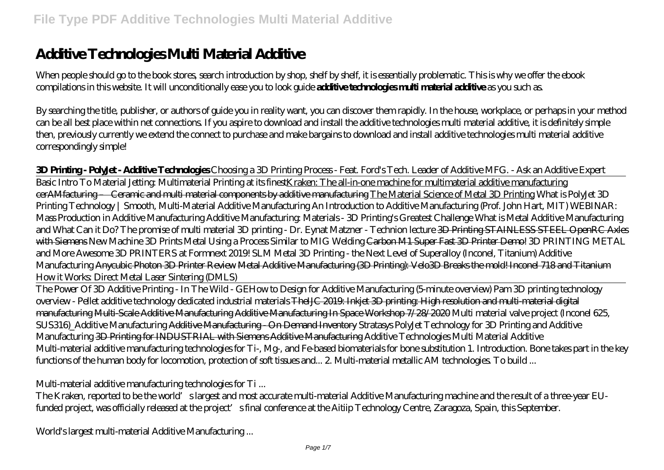# **Additive Technologies Multi Material Additive**

When people should go to the book stores, search introduction by shop, shelf by shelf, it is essentially problematic. This is why we offer the ebook compilations in this website. It will unconditionally ease you to look guide **additive technologies multi material additive** as you such as.

By searching the title, publisher, or authors of guide you in reality want, you can discover them rapidly. In the house, workplace, or perhaps in your method can be all best place within net connections. If you aspire to download and install the additive technologies multi material additive, it is definitely simple then, previously currently we extend the connect to purchase and make bargains to download and install additive technologies multi material additive correspondingly simple!

#### **3D Printing - PolyJet - Additive Technologies** *Choosing a 3D Printing Process - Feat. Ford's Tech. Leader of Additive MFG. - Ask an Additive Expert*

Basic Intro To Material Jetting: Multimaterial Printing at its finestKraken: The all-in-one machine for multimaterial additive manufacturing cerAMfacturing – Ceramic and multi material components by additive manufacturing The Material Science of Metal 3D Printing What is PolyJet 3D Printing Technology | Smooth, Multi-Material Additive Manufacturing An Introduction to Additive Manufacturing (Prof. John Hart, MIT) WEBINAR: Mass Production in Additive Manufacturing Additive Manufacturing: Materials - 3D Printing's Greatest Challenge *What is Metal Additive Manufacturing and What Can it Do?* The promise of multi material 3D printing - Dr. Eynat Matzner - Technion lecture 3D Printing STAINLESS STEEL OpenRC Axles with Siemens *New Machine 3D Prints Metal Using a Process Similar to MIG Welding* Carbon M1 Super Fast 3D Printer Demo! *3D PRINTING METAL and More Awesome 3D PRINTERS at Formnext 2019! SLM Metal 3D Printing - the Next Level of Superalloy (Inconel, Titanium) Additive Manufacturing* Anycubic Photon 3D Printer Review Metal Additive Manufacturing (3D Printing): Velo3D Breaks the mold! Inconel 718 and Titanium *How it Works: Direct Metal Laser Sintering (DMLS)*

The Power Of 3D Additive Printing - In The Wild - GE*How to Design for Additive Manufacturing (5-minute overview) Pam 3D printing technology overview - Pellet additive technology dedicated industrial materials* TheIJC 2019: Inkjet 3D printing: High resolution and multi-material digital manufacturing Multi-Scale Additive Manufacturing Additive Manufacturing In Space Workshop 7/28/2020 *Multi material valve project (Inconel 625, SUS316)\_Additive Manufacturing* Additive Manufacturing - On Demand Inventory *Stratasys PolyJet Technology for 3D Printing and Additive Manufacturing* 3D Printing for INDUSTRIAL with Siemens Additive Manufacturing *Additive Technologies Multi Material Additive* Multi-material additive manufacturing technologies for Ti-, Mg-, and Fe-based biomaterials for bone substitution 1. Introduction. Bone takes part in the key functions of the human body for locomotion, protection of soft tissues and... 2. Multi-material metallic AM technologies. To build ...

## *Multi-material additive manufacturing technologies for Ti ...*

The Kraken, reported to be the world's largest and most accurate multi-material Additive Manufacturing machine and the result of a three-year EUfunded project, was officially released at the project's final conference at the Aitiip Technology Centre, Zaragoza, Spain, this September.

*World's largest multi-material Additive Manufacturing ...*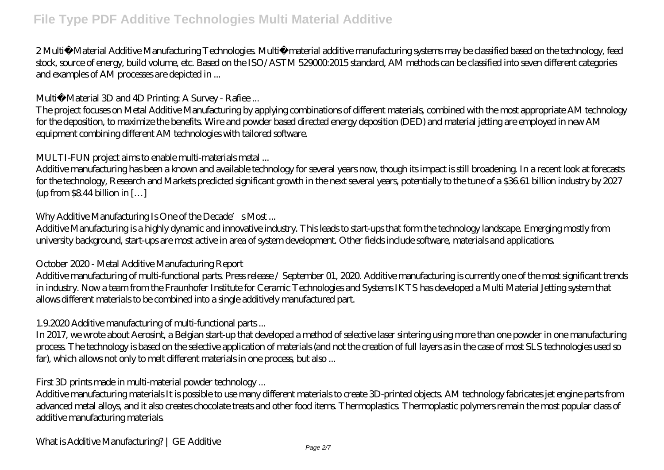2 Multi‐Material Additive Manufacturing Technologies. Multi‐material additive manufacturing systems may be classified based on the technology, feed stock, source of energy, build volume, etc. Based on the ISO/ASTM 529000:2015 standard, AM methods can be classified into seven different categories and examples of AM processes are depicted in ...

#### *Multi‐Material 3D and 4D Printing: A Survey - Rafiee ...*

The project focuses on Metal Additive Manufacturing by applying combinations of different materials, combined with the most appropriate AM technology for the deposition, to maximize the benefits. Wire and powder based directed energy deposition (DED) and material jetting are employed in new AM equipment combining different AM technologies with tailored software.

#### *MULTI-FUN project aims to enable multi-materials metal ...*

Additive manufacturing has been a known and available technology for several years now, though its impact is still broadening. In a recent look at forecasts for the technology, Research and Markets predicted significant growth in the next several years, potentially to the tune of a \$36.61 billion industry by 2027  $up from $844$  billion in  $[...]$ 

## *Why Additive Manufacturing Is One of the Decade's Most...*

Additive Manufacturing is a highly dynamic and innovative industry. This leads to start-ups that form the technology landscape. Emerging mostly from university background, start-ups are most active in area of system development. Other fields include software, materials and applications.

#### *October 2020 - Metal Additive Manufacturing Report*

Additive manufacturing of multi-functional parts. Press release / September 01, 2020. Additive manufacturing is currently one of the most significant trends in industry. Now a team from the Fraunhofer Institute for Ceramic Technologies and Systems IKTS has developed a Multi Material Jetting system that allows different materials to be combined into a single additively manufactured part.

## *1.9.2020 Additive manufacturing of multi-functional parts ...*

In 2017, we wrote about Aerosint, a Belgian start-up that developed a method of selective laser sintering using more than one powder in one manufacturing process. The technology is based on the selective application of materials (and not the creation of full layers as in the case of most SLS technologies used so far), which allows not only to melt different materials in one process, but also ...

## *First 3D prints made in multi-material powder technology ...*

Additive manufacturing materials It is possible to use many different materials to create 3D-printed objects. AM technology fabricates jet engine parts from advanced metal alloys, and it also creates chocolate treats and other food items. Thermoplastics. Thermoplastic polymers remain the most popular class of additive manufacturing materials.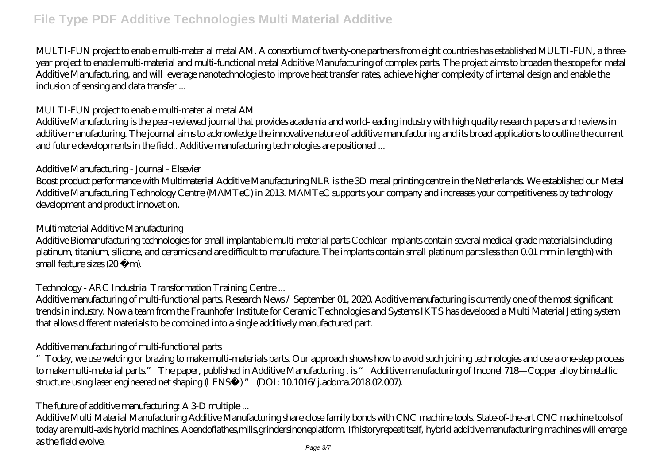MULTI-FUN project to enable multi-material metal AM. A consortium of twenty-one partners from eight countries has established MULTI-FUN, a threeyear project to enable multi-material and multi-functional metal Additive Manufacturing of complex parts. The project aims to broaden the scope for metal Additive Manufacturing, and will leverage nanotechnologies to improve heat transfer rates, achieve higher complexity of internal design and enable the inclusion of sensing and data transfer ...

#### *MULTI-FUN project to enable multi-material metal AM*

Additive Manufacturing is the peer-reviewed journal that provides academia and world-leading industry with high quality research papers and reviews in additive manufacturing. The journal aims to acknowledge the innovative nature of additive manufacturing and its broad applications to outline the current and future developments in the field.. Additive manufacturing technologies are positioned ...

## *Additive Manufacturing - Journal - Elsevier*

Boost product performance with Multimaterial Additive Manufacturing NLR is the 3D metal printing centre in the Netherlands. We established our Metal Additive Manufacturing Technology Centre (MAMTeC) in 2013. MAMTeC supports your company and increases your competitiveness by technology development and product innovation.

## *Multimaterial Additive Manufacturing*

Additive Biomanufacturing technologies for small implantable multi-material parts Cochlear implants contain several medical grade materials including platinum, titanium, silicone, and ceramics and are difficult to manufacture. The implants contain small platinum parts less than 0.01 mm in length) with small feature sizes  $(20 \mu)$ m).

# *Technology - ARC Industrial Transformation Training Centre ...*

Additive manufacturing of multi-functional parts. Research News / September 01, 2020. Additive manufacturing is currently one of the most significant trends in industry. Now a team from the Fraunhofer Institute for Ceramic Technologies and Systems IKTS has developed a Multi Material Jetting system that allows different materials to be combined into a single additively manufactured part.

# *Additive manufacturing of multi-functional parts*

"Today, we use welding or brazing to make multi-materials parts. Our approach shows how to avoid such joining technologies and use a one-step process to make multi-material parts." The paper, published in Additive Manufacturing , is " Additive manufacturing of Inconel 718—Copper alloy bimetallic structure using laser engineered net shaping (LENS™) " (DOI: 10.1016/j.addma.2018.02.007).

# *The future of additive manufacturing: A 3-D multiple ...*

Additive Multi Material Manufacturing Additive Manufacturing share close family bonds with CNC machine tools. State-of-the-art CNC machine tools of today are multi-axis hybrid machines. Abendoflathes,mills,grindersinoneplatform. Ifhistoryrepeatitself, hybrid additive manufacturing machines will emerge as the field evolve. Page 3/7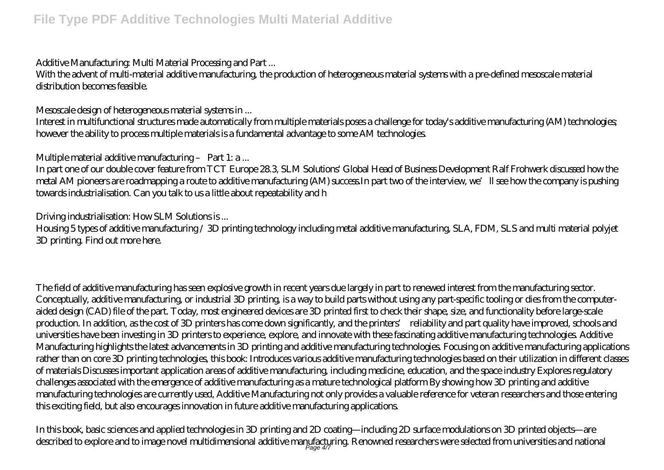## *Additive Manufacturing: Multi Material Processing and Part ...*

With the advent of multi-material additive manufacturing, the production of heterogeneous material systems with a pre-defined mesoscale material distribution becomes feasible.

## *Mesoscale design of heterogeneous material systems in ...*

Interest in multifunctional structures made automatically from multiple materials poses a challenge for today's additive manufacturing (AM) technologies; however the ability to process multiple materials is a fundamental advantage to some AM technologies.

## *Multiple material additive manufacturing – Part 1: a ...*

In part one of our double cover feature from TCT Europe 28.3, SLM Solutions' Global Head of Business Development Ralf Frohwerk discussed how the metal AM pioneers are roadmapping a route to additive manufacturing (AM) success In part two of the interview, we'll see how the company is pushing towards industrialisation. Can you talk to us a little about repeatability and h

## *Driving industrialisation: How SLM Solutions is ...*

Housing 5 types of additive manufacturing / 3D printing technology including metal additive manufacturing, SLA, FDM, SLS and multi material polyjet 3D printing. Find out more here.

The field of additive manufacturing has seen explosive growth in recent years due largely in part to renewed interest from the manufacturing sector. Conceptually, additive manufacturing, or industrial 3D printing, is a way to build parts without using any part-specific tooling or dies from the computeraided design (CAD) file of the part. Today, most engineered devices are 3D printed first to check their shape, size, and functionality before large-scale production. In addition, as the cost of 3D printers has come down significantly, and the printers' reliability and part quality have improved, schools and universities have been investing in 3D printers to experience, explore, and innovate with these fascinating additive manufacturing technologies. Additive Manufacturing highlights the latest advancements in 3D printing and additive manufacturing technologies. Focusing on additive manufacturing applications rather than on core 3D printing technologies, this book: Introduces various additive manufacturing technologies based on their utilization in different classes of materials Discusses important application areas of additive manufacturing, including medicine, education, and the space industry Explores regulatory challenges associated with the emergence of additive manufacturing as a mature technological platform By showing how 3D printing and additive manufacturing technologies are currently used, Additive Manufacturing not only provides a valuable reference for veteran researchers and those entering this exciting field, but also encourages innovation in future additive manufacturing applications.

In this book, basic sciences and applied technologies in 3D printing and 2D coating—including 2D surface modulations on 3D printed objects—are described to explore and to image novel multidimensional additive manufacturing. Renowned researchers were selected from universities and national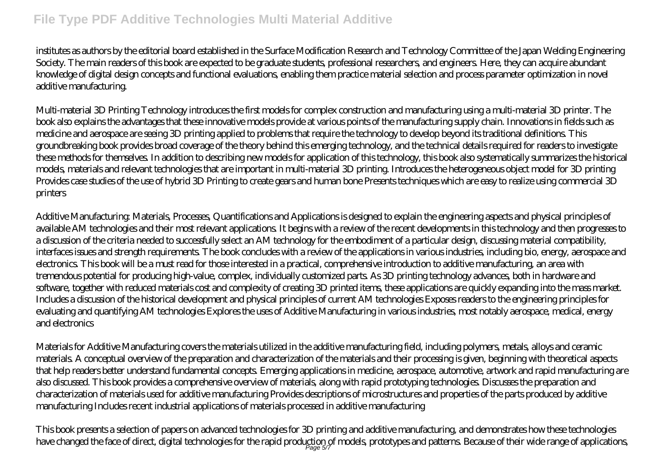institutes as authors by the editorial board established in the Surface Modification Research and Technology Committee of the Japan Welding Engineering Society. The main readers of this book are expected to be graduate students, professional researchers, and engineers. Here, they can acquire abundant knowledge of digital design concepts and functional evaluations, enabling them practice material selection and process parameter optimization in novel additive manufacturing.

Multi-material 3D Printing Technology introduces the first models for complex construction and manufacturing using a multi-material 3D printer. The book also explains the advantages that these innovative models provide at various points of the manufacturing supply chain. Innovations in fields such as medicine and aerospace are seeing 3D printing applied to problems that require the technology to develop beyond its traditional definitions. This groundbreaking book provides broad coverage of the theory behind this emerging technology, and the technical details required for readers to investigate these methods for themselves. In addition to describing new models for application of this technology, this book also systematically summarizes the historical models, materials and relevant technologies that are important in multi-material 3D printing. Introduces the heterogeneous object model for 3D printing Provides case studies of the use of hybrid 3D Printing to create gears and human bone Presents techniques which are easy to realize using commercial 3D printers

Additive Manufacturing: Materials, Processes, Quantifications and Applications is designed to explain the engineering aspects and physical principles of available AM technologies and their most relevant applications. It begins with a review of the recent developments in this technology and then progresses to a discussion of the criteria needed to successfully select an AM technology for the embodiment of a particular design, discussing material compatibility, interfaces issues and strength requirements. The book concludes with a review of the applications in various industries, including bio, energy, aerospace and electronics. This book will be a must read for those interested in a practical, comprehensive introduction to additive manufacturing, an area with tremendous potential for producing high-value, complex, individually customized parts. As 3D printing technology advances, both in hardware and software, together with reduced materials cost and complexity of creating 3D printed items, these applications are quickly expanding into the mass market. Includes a discussion of the historical development and physical principles of current AM technologies Exposes readers to the engineering principles for evaluating and quantifying AM technologies Explores the uses of Additive Manufacturing in various industries, most notably aerospace, medical, energy and electronics

Materials for Additive Manufacturing covers the materials utilized in the additive manufacturing field, including polymers, metals, alloys and ceramic materials. A conceptual overview of the preparation and characterization of the materials and their processing is given, beginning with theoretical aspects that help readers better understand fundamental concepts. Emerging applications in medicine, aerospace, automotive, artwork and rapid manufacturing are also discussed. This book provides a comprehensive overview of materials, along with rapid prototyping technologies. Discusses the preparation and characterization of materials used for additive manufacturing Provides descriptions of microstructures and properties of the parts produced by additive manufacturing Includes recent industrial applications of materials processed in additive manufacturing

This book presents a selection of papers on advanced technologies for 3D printing and additive manufacturing, and demonstrates how these technologies have changed the face of direct, digital technologies for the rapid production of models, prototypes and patterns. Because of their wide range of applications,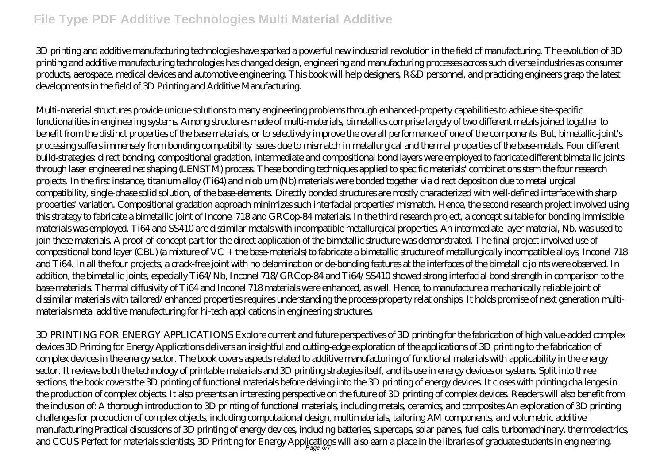3D printing and additive manufacturing technologies have sparked a powerful new industrial revolution in the field of manufacturing. The evolution of 3D printing and additive manufacturing technologies has changed design, engineering and manufacturing processes across such diverse industries as consumer products, aerospace, medical devices and automotive engineering. This book will help designers, R&D personnel, and practicing engineers grasp the latest developments in the field of 3D Printing and Additive Manufacturing.

Multi-material structures provide unique solutions to many engineering problems through enhanced-property capabilities to achieve site-specific functionalities in engineering systems. Among structures made of multi-materials, bimetallics comprise largely of two different metals joined together to benefit from the distinct properties of the base materials, or to selectively improve the overall performance of one of the components. But, bimetallic-joint's processing suffers immensely from bonding compatibility issues due to mismatch in metallurgical and thermal properties of the base-metals. Four different build-strategies: direct bonding, compositional gradation, intermediate and compositional bond layers were employed to fabricate different bimetallic joints through laser engineered net shaping (LENSTM) process. These bonding techniques applied to specific materials' combinations stem the four research projects. In the first instance, titanium alloy (Ti64) and niobium (Nb) materials were bonded together via direct deposition due to metallurgical compatibility, single-phase solid solution, of the base-elements. Directly bonded structures are mostly characterized with well-defined interface with sharp properties' variation. Compositional gradation approach minimizes such interfacial properties' mismatch. Hence, the second research project involved using this strategy to fabricate a bimetallic joint of Inconel 718 and GRCop-84 materials. In the third research project, a concept suitable for bonding immiscible materials was employed. Ti64 and SS410 are dissimilar metals with incompatible metallurgical properties. An intermediate layer material, Nb, was used to join these materials. A proof-of-concept part for the direct application of the bimetallic structure was demonstrated. The final project involved use of compositional bond layer (CBL) (a mixture of VC + the base-materials) to fabricate a bimetallic structure of metallurgically incompatible alloys, Inconel 718 and Ti64. In all the four projects, a crack-free joint with no delamination or de-bonding features at the interfaces of the bimetallic joints were observed. In addition, the bimetallic joints, especially Ti64/Nb, Inconel 718/GRCop-84 and Ti64/SS410 showed strong interfacial bond strength in comparison to the base-materials. Thermal diffusivity of Ti64 and Inconel 718 materials were enhanced, as well. Hence, to manufacture a mechanically reliable joint of dissimilar materials with tailored/enhanced properties requires understanding the process-property relationships. It holds promise of next generation multimaterials metal additive manufacturing for hi-tech applications in engineering structures.

3D PRINTING FOR ENERGY APPLICATIONS Explore current and future perspectives of 3D printing for the fabrication of high value-added complex devices 3D Printing for Energy Applications delivers an insightful and cutting-edge exploration of the applications of 3D printing to the fabrication of complex devices in the energy sector. The book covers aspects related to additive manufacturing of functional materials with applicability in the energy sector. It reviews both the technology of printable materials and 3D printing strategies itself, and its use in energy devices or systems. Split into three sections, the book covers the 3D printing of functional materials before delving into the 3D printing of energy devices. It closes with printing challenges in the production of complex objects. It also presents an interesting perspective on the future of 3D printing of complex devices. Readers will also benefit from the inclusion of: A thorough introduction to 3D printing of functional materials, including metals, ceramics, and composites An exploration of 3D printing challenges for production of complex objects, including computational design, multimaterials, tailoring AM components, and volumetric additive manufacturing Practical discussions of 3D printing of energy devices, including batteries, supercaps, solar panels, fuel cells, turbomachinery, thermoelectrics, and CCUS Perfect for materials scientists, 3D Printing for Energy Applications will also earn a place in the libraries of graduate students in engineering,